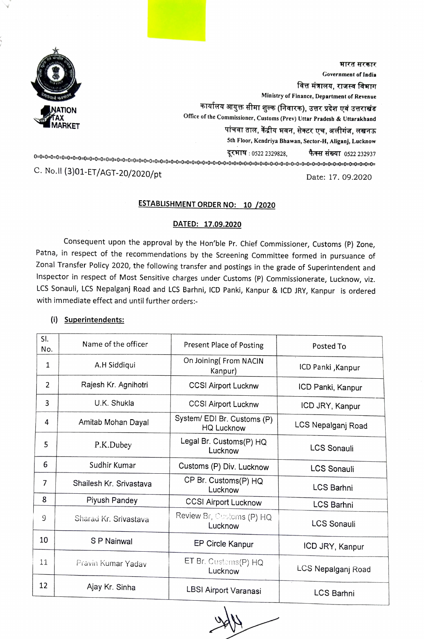

भारत सरकार<br>Government of India<br>वित्त मंत्रालय, राजस्व विभाग Government of India Ministry of Finance, Department of Revenue कार्यालय आयुक्त सीमा शुल्क (निवारक), उत्तर प्रदेश एवं उत्तराखंड<br>Office of the Commissioner, Customs (Prev) Uttar Pradesh & Uttarakhand पांचवा ताल, केंद्रीय भवन, सेक्टर एच, अलीगंज, लखनऊ Sth Floor, Kendriya Bhawan, Sector-H, Aliganj, Lucknow दूरभाष: 0522 2329828, कैक्स संख्या 0522 232937 0=0=0=0=0=0=0=0=0=0=0=0=0=0=0=0=0=0=0=0-0=0=0=0=-0=0-0=0=0=0=0=0=0-0=0=0=0=0=0=0-0=0=0=0=0=0=0=0-0=0=0-0=0=0=0=0=0=0-0=0=0=0=0=0 C. No.ll (3)01-ET/AGT-20/2020/pt

Date: 17. 09.2020

## ESTABLISHMENT ORDER NO: 10 /2020

### DATED: 17.09.2020

Consequent upon the approval by the Hon'ble Pr. Chief Commissioner, Customs (P) Zone, Patna, in respect of the recommendations by the Screening Committee formed in pursuance of Zonal Transfer Policy 2020, the following transfer and postings in the grade of Superintendent and Inspector in respect of Most Sensitive charges under Customs (P) Commissionerate, Lucknow, viz. LCS Sonauli, LCS Nepalganj Road and LCS Barhni, IcD Panki, Kanpur & ICD JRY, Kanpur is ordered with immediate effect and until further orders:

| SI.<br>No. | Name of the officer     | Present Place of Posting                         | Posted To          |
|------------|-------------------------|--------------------------------------------------|--------------------|
| 1          | A.H Siddiqui            | On Joining (From NACIN<br>Kanpur)                | ICD Panki, Kanpur  |
| 2          | Rajesh Kr. Agnihotri    | <b>CCSI Airport Lucknw</b>                       | ICD Panki, Kanpur  |
| 3          | U.K. Shukla             | <b>CCSI Airport Lucknw</b>                       | ICD JRY, Kanpur    |
| 4          | Amitab Mohan Dayal      | System/ EDI Br. Customs (P)<br><b>HQ Lucknow</b> | LCS Nepalganj Road |
| 5          | P.K.Dubey               | Legal Br. Customs(P) HQ<br>Lucknow               | <b>LCS Sonauli</b> |
| 6          | Sudhir Kumar            | Customs (P) Div. Lucknow                         | <b>LCS Sonauli</b> |
| 7          | Shailesh Kr. Srivastava | CP Br. Customs(P) HQ<br>Lucknow                  | <b>LCS Barhni</b>  |
| 8          | Piyush Pandey           | <b>CCSI Airport Lucknow</b>                      | <b>LCS Barhni</b>  |
| 9          | Sharad Kr. Srivastava   | Review Br, Customs (P) HQ<br>Lucknow             | <b>LCS Sonauli</b> |
| 10         | S P Nainwal             | EP Circle Kanpur                                 | ICD JRY, Kanpur    |
| 11         | Pravin Kumar Yadav      | ET Br. Custems(P) HQ<br>Lucknow                  | LCS Nepalganj Road |
| 12         | Ajay Kr. Sinha          | LBSI Airport Varanasi                            | LCS Barhni         |

# (i) Superintendents: